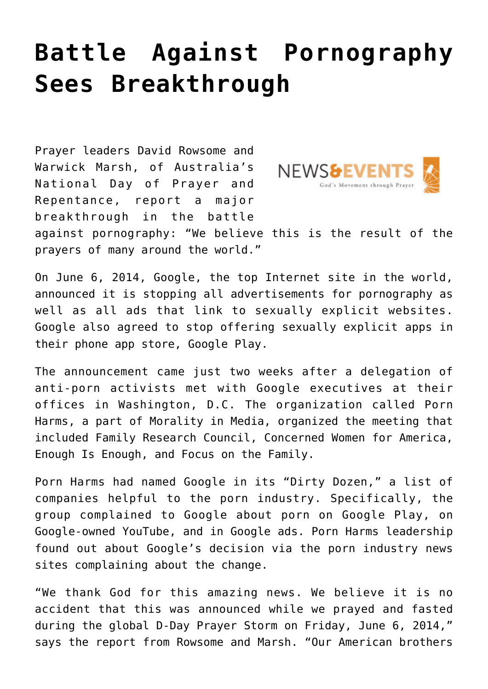## **[Battle Against Pornography](https://www.prayerleader.com/battle-against-pornography-sees-breakthrough/) [Sees Breakthrough](https://www.prayerleader.com/battle-against-pornography-sees-breakthrough/)**

Prayer leaders David Rowsome and Warwick Marsh, of Australia's National Day of Prayer and Repentance, report a major breakthrough in the battle



against pornography: "We believe this is the result of the prayers of many around the world."

On June 6, 2014, Google, the top Internet site in the world, announced it is stopping all advertisements for pornography as well as all ads that link to sexually explicit websites. Google also agreed to stop offering sexually explicit apps in their phone app store, Google Play.

The announcement came just two weeks after a delegation of anti-porn activists met with Google executives at their offices in Washington, D.C. The organization called Porn Harms, a part of Morality in Media, organized the meeting that included Family Research Council, Concerned Women for America, Enough Is Enough, and Focus on the Family.

Porn Harms had named Google in its "Dirty Dozen," a list of companies helpful to the porn industry. Specifically, the group complained to Google about porn on Google Play, on Google-owned YouTube, and in Google ads. Porn Harms leadership found out about Google's decision via the porn industry news sites complaining about the change.

"We thank God for this amazing news. We believe it is no accident that this was announced while we prayed and fasted during the global D-Day Prayer Storm on Friday, June 6, 2014," says the report from Rowsome and Marsh. "Our American brothers